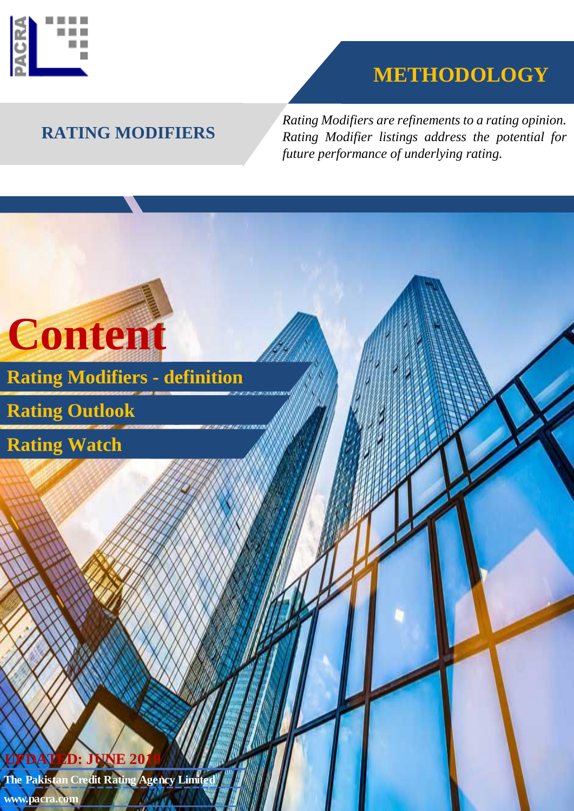

# **METHODOLOGY**

## **RATING MODIFIERS**

*Rating Modifiers are refinements to a rating opinion. Rating Modifier listings address the potential for future performance of underlying rating.*



**www.pacra.com**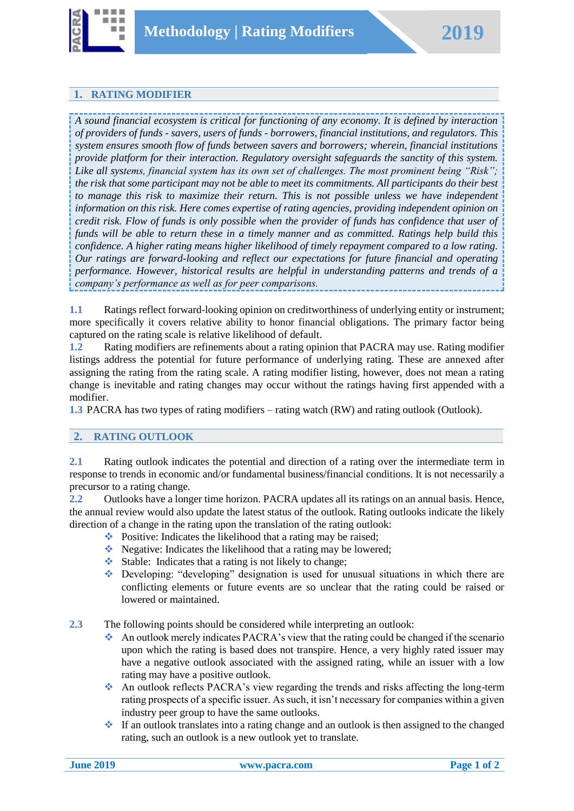

#### **1. RATING MODIFIER**

*A sound financial ecosystem is critical for functioning of any economy. It is defined by interaction of providers of funds - savers, users of funds - borrowers, financial institutions, and regulators. This system ensures smooth flow of funds between savers and borrowers; wherein, financial institutions provide platform for their interaction. Regulatory oversight safeguards the sanctity of this system. Like all systems, financial system has its own set of challenges. The most prominent being "Risk"; the risk that some participant may not be able to meet its commitments. All participants do their best to manage this risk to maximize their return. This is not possible unless we have independent information on this risk. Here comes expertise of rating agencies, providing independent opinion on credit risk. Flow of funds is only possible when the provider of funds has confidence that user of funds will be able to return these in a timely manner and as committed. Ratings help build this confidence. A higher rating means higher likelihood of timely repayment compared to a low rating. Our ratings are forward-looking and reflect our expectations for future financial and operating performance. However, historical results are helpful in understanding patterns and trends of a company's performance as well as for peer comparisons.*

**1.1** Ratings reflect forward-looking opinion on creditworthiness of underlying entity or instrument; more specifically it covers relative ability to honor financial obligations. The primary factor being captured on the rating scale is relative likelihood of default.

**1.2** Rating modifiers are refinements about a rating opinion that PACRA may use. Rating modifier listings address the potential for future performance of underlying rating. These are annexed after assigning the rating from the rating scale. A rating modifier listing, however, does not mean a rating change is inevitable and rating changes may occur without the ratings having first appended with a modifier.

**1.3** PACRA has two types of rating modifiers – rating watch (RW) and rating outlook (Outlook).

#### **2. RATING OUTLOOK**

**2.1** Rating outlook indicates the potential and direction of a rating over the intermediate term in response to trends in economic and/or fundamental business/financial conditions. It is not necessarily a precursor to a rating change.

**2.2** Outlooks have a longer time horizon. PACRA updates all its ratings on an annual basis. Hence, the annual review would also update the latest status of the outlook. Rating outlooks indicate the likely direction of a change in the rating upon the translation of the rating outlook:

- Positive: Indicates the likelihood that a rating may be raised;
- Negative: Indicates the likelihood that a rating may be lowered;
- $\triangleleft$  Stable: Indicates that a rating is not likely to change;
- Developing: "developing" designation is used for unusual situations in which there are conflicting elements or future events are so unclear that the rating could be raised or lowered or maintained.
- **2.3** The following points should be considered while interpreting an outlook:
	- An outlook merely indicates PACRA's view that the rating could be changed if the scenario upon which the rating is based does not transpire. Hence, a very highly rated issuer may have a negative outlook associated with the assigned rating, while an issuer with a low rating may have a positive outlook.
	- An outlook reflects PACRA's view regarding the trends and risks affecting the long-term rating prospects of a specific issuer. As such, it isn't necessary for companies within a given industry peer group to have the same outlooks.
	- $\bullet$  If an outlook translates into a rating change and an outlook is then assigned to the changed rating, such an outlook is a new outlook yet to translate.